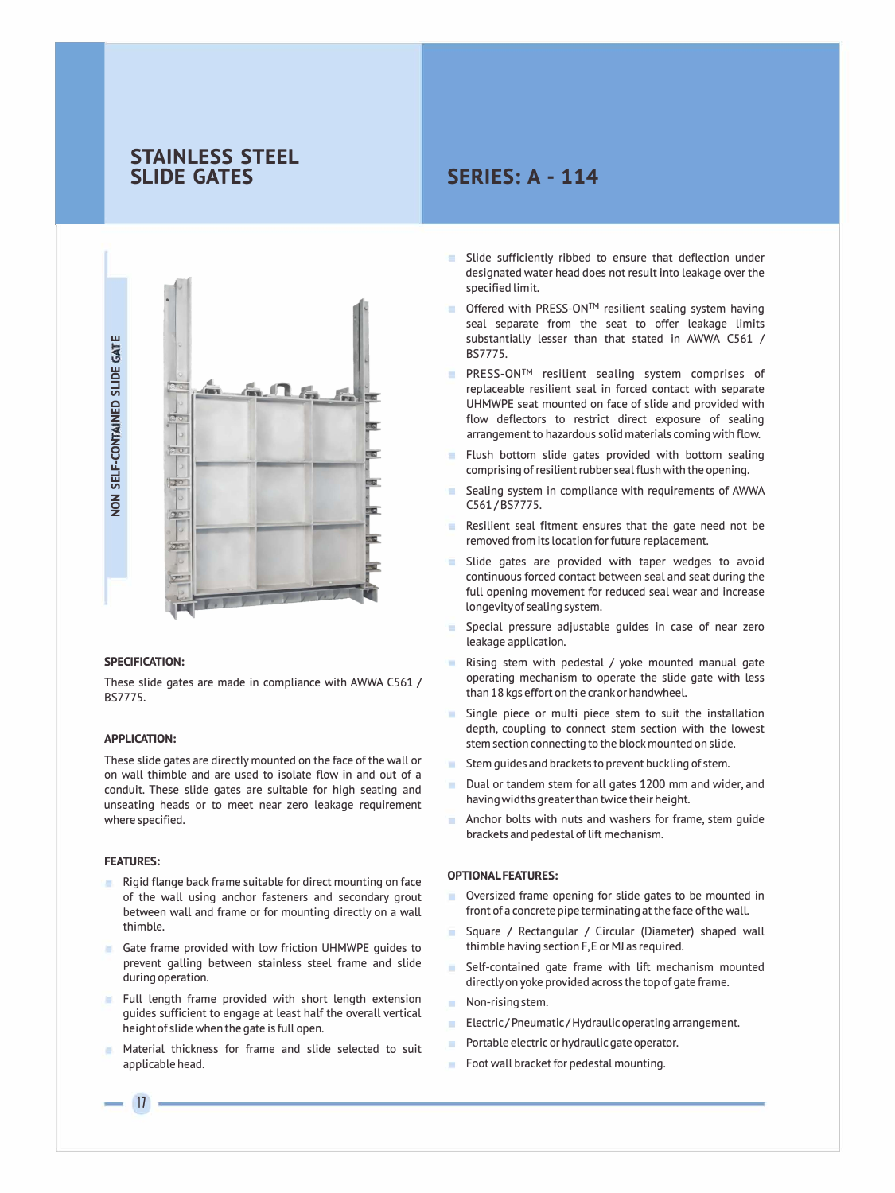## **STAINLESS STEEL SLIDE GATES**



### **SPECIFICATION:**

These slide gates are made in compliance with AWWA C561 / 857775.

### **APPLICATION:**

These slide gates are directly mounted on the face of the wall or on wall thimble and are used to isolate flow in and out of a conduit. These slide gates are suitable for high seating and unseating heads or to meet near zero Leakage requirement where specified.

#### **FEATURES:**

- Rigid flange back frame suitable for direct mounting on face of the wall using anchor fasteners and secondary grout between wall and frame or for mounting directly on a wall thimble.
- Gate frame provided with low friction UHMWPE guides to prevent galling between stainless steel frame and slide during operation.
- Full Length frame provided with short Length extension guides sufficient to engage at Least half the overall vertical height of slide when the gate is full open.
- $\equiv$ Material thickness for frame and slide selected to suit applicable head.

# **SERIES: A - 114**

- Slide sufficiently ribbed to ensure that deflection under designated water head does not result into Leakage over the specified Limit.
- Offered with PRESS-ON™ resilient sealing system having seal separate from the seat to offer Leakage Limits substantially lesser than that stated in AWWA C561 / 857775.
- PRESS-ON™ resilient sealing system comprises of replaceable resilient seal in forced contact with separate UHMWPE seat mounted on face of slide and provided with flow deflectors to restrict direct exposure of sealing arrangement to hazardous solid materials coming with flow.
- × Flush bottom slide gates provided with bottom sealing comprising of resilient rubber seal flush with the opening.
- Sealing system in compliance with requirements of AWWA (561/857775.
- ٠ Resilient seal fitment ensures that the gate need not be removed from its Location for future replacement.
- Slide gates are provided with taper wedges to avoid continuous forced contact between seal and seat during the full opening movement for reduced seal wear and increase Longevity of sealing system.
- Special pressure adjustable guides in case of near zero leakage application.
- Rising stem with pedestal / yoke mounted manual gate operating mechanism to operate the slide gate with less than 18 kgs effort on the crank or handwheel.
- Single piece or multi piece stem to suit the installation × depth, coupling to connect stem section with the Lowest stem section connecting to the block mounted on slide.
- Stem guides and brackets to prevent buckling of stem.
- Dual or tandem stem for all gates 1200 mm and wider, and having widths greater than twice their height.
- Anchor bolts with nuts and washers for frame, stem guide brackets and pedestal of Lift mechanism.

### **OPTIONAL FEATURES:**

- ÷ Oversized frame opening for slide gates to be mounted in front of a concrete pipe terminating at the face of the wall.
- ٠ Square / Rectangular / Circular (Diameter) shaped wall thimble having section F,E or MJ as required.
- Self-contained gate frame with Lift mechanism mounted directly on yoke provided across the top of gate frame.
- Non-rising stem.
- Electric/ Pneumatic/ Hydraulic operating arrangement. ٠
- Portable electric or hydraulic gate operator. ш
- Foot wall bracket for pedestal mounting.

17